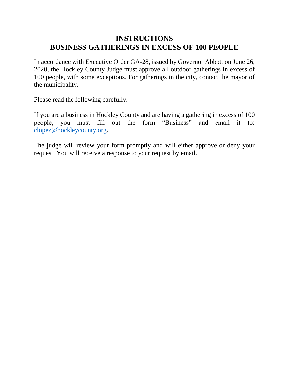## **INSTRUCTIONS BUSINESS GATHERINGS IN EXCESS OF 100 PEOPLE**

In accordance with Executive Order GA-28, issued by Governor Abbott on June 26, 2020, the Hockley County Judge must approve all outdoor gatherings in excess of 100 people, with some exceptions. For gatherings in the city, contact the mayor of the municipality.

Please read the following carefully.

If you are a business in Hockley County and are having a gathering in excess of 100 people, you must fill out the form "Business" and email it to: [clopez@hockleycounty.org.](mailto:clopez@hockleycounty.org)

The judge will review your form promptly and will either approve or deny your request. You will receive a response to your request by email.